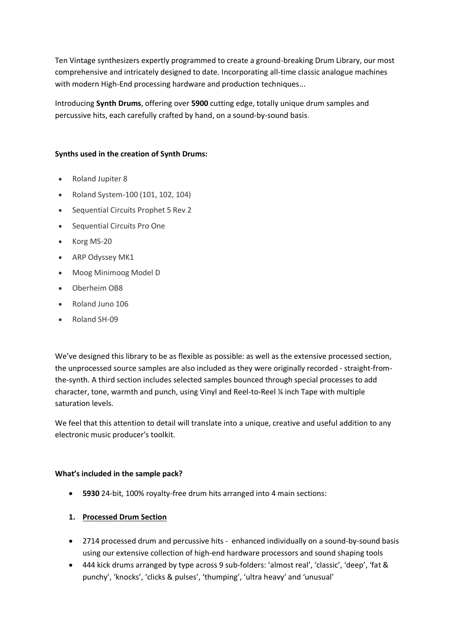Ten Vintage synthesizers expertly programmed to create a ground-breaking Drum Library, our most comprehensive and intricately designed to date. Incorporating all-time classic analogue machines with modern High-End processing hardware and production techniques...

Introducing **Synth Drums**, offering over **5900** cutting edge, totally unique drum samples and percussive hits, each carefully crafted by hand, on a sound-by-sound basis.

### **Synths used in the creation of Synth Drums:**

- Roland Jupiter 8
- Roland System-100 (101, 102, 104)
- Sequential Circuits Prophet 5 Rev 2
- Sequential Circuits Pro One
- Korg MS-20
- ARP Odyssey MK1
- Moog Minimoog Model D
- Oberheim OB8
- Roland Juno 106
- Roland SH-09

We've designed this library to be as flexible as possible: as well as the extensive processed section, the unprocessed source samples are also included as they were originally recorded - straight-fromthe-synth. A third section includes selected samples bounced through special processes to add character, tone, warmth and punch, using Vinyl and Reel-to-Reel ¼ inch Tape with multiple saturation levels.

We feel that this attention to detail will translate into a unique, creative and useful addition to any electronic music producer's toolkit.

### **What's included in the sample pack?**

- **5930** 24-bit, 100% royalty-free drum hits arranged into 4 main sections:
- **1. Processed Drum Section**
- 2714 processed drum and percussive hits enhanced individually on a sound-by-sound basis using our extensive collection of high-end hardware processors and sound shaping tools
- 444 kick drums arranged by type across 9 sub-folders: 'almost real', 'classic', 'deep', 'fat & punchy', 'knocks', 'clicks & pulses', 'thumping', 'ultra heavy' and 'unusual'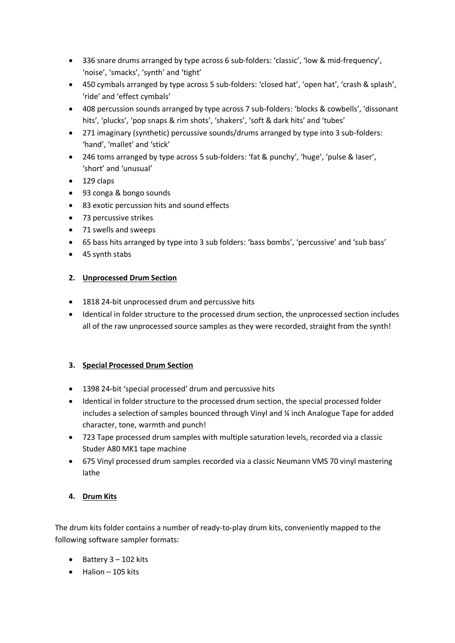- 336 snare drums arranged by type across 6 sub-folders: 'classic', 'low & mid-frequency', 'noise', 'smacks', 'synth' and 'tight'
- 450 cymbals arranged by type across 5 sub-folders: 'closed hat', 'open hat', 'crash & splash', 'ride' and 'effect cymbals'
- 408 percussion sounds arranged by type across 7 sub-folders: 'blocks & cowbells', 'dissonant hits', 'plucks', 'pop snaps & rim shots', 'shakers', 'soft & dark hits' and 'tubes'
- 271 imaginary (synthetic) percussive sounds/drums arranged by type into 3 sub-folders: 'hand', 'mallet' and 'stick'
- 246 toms arranged by type across 5 sub-folders: 'fat & punchy', 'huge', 'pulse & laser', 'short' and 'unusual'
- $\bullet$  129 claps
- 93 conga & bongo sounds
- 83 exotic percussion hits and sound effects
- 73 percussive strikes
- 71 swells and sweeps
- 65 bass hits arranged by type into 3 sub folders: 'bass bombs', 'percussive' and 'sub bass'
- 45 synth stabs

## **2. Unprocessed Drum Section**

- 1818 24-bit unprocessed drum and percussive hits
- Identical in folder structure to the processed drum section, the unprocessed section includes all of the raw unprocessed source samples as they were recorded, straight from the synth!

# **3. Special Processed Drum Section**

- 1398 24-bit 'special processed' drum and percussive hits
- Identical in folder structure to the processed drum section, the special processed folder includes a selection of samples bounced through Vinyl and ¼ inch Analogue Tape for added character, tone, warmth and punch!
- 723 Tape processed drum samples with multiple saturation levels, recorded via a classic Studer A80 MK1 tape machine
- 675 Vinyl processed drum samples recorded via a classic Neumann VMS 70 vinyl mastering lathe

# **4. Drum Kits**

The drum kits folder contains a number of ready-to-play drum kits, conveniently mapped to the following software sampler formats:

- $\bullet$  Battery 3 102 kits
- $\bullet$  Halion 105 kits